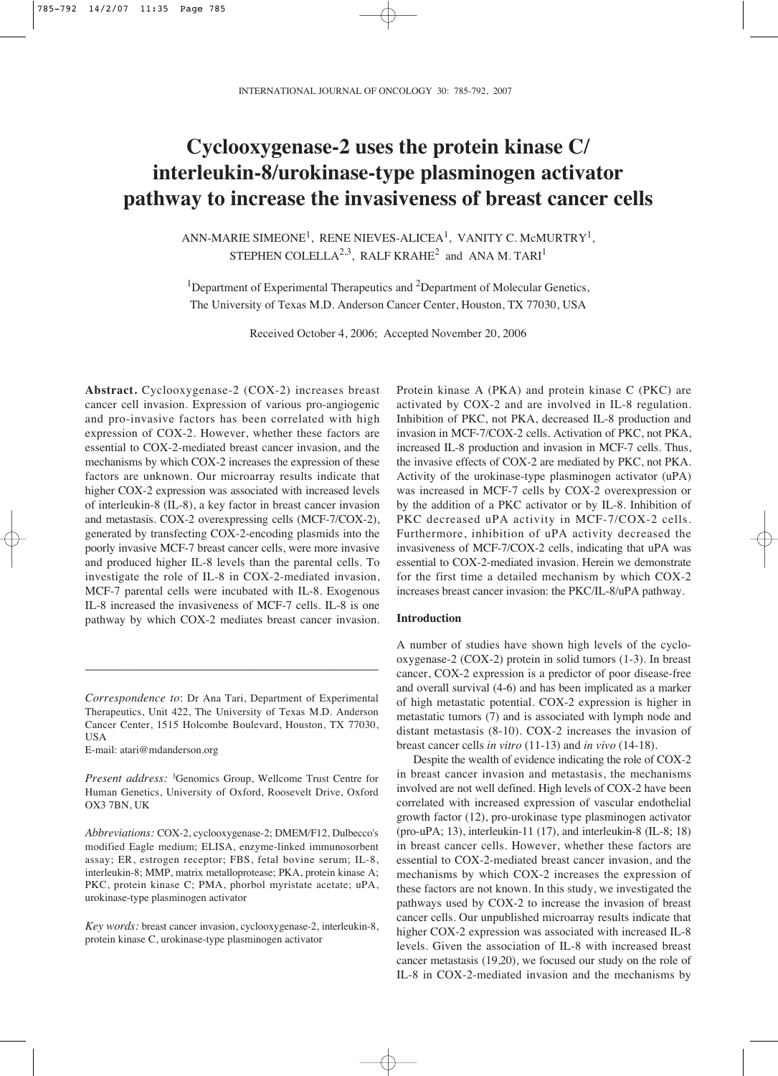# **Cyclooxygenase-2 uses the protein kinase C/ interleukin-8/urokinase-type plasminogen activator pathway to increase the invasiveness of breast cancer cells**

ANN-MARIE SIMEONE<sup>1</sup>, RENE NIEVES-ALICEA<sup>1</sup>, VANITY C. McMURTRY<sup>1</sup>, STEPHEN COLELLA<sup>2,3</sup>, RALF KRAHE<sup>2</sup> and ANA M. TARI<sup>1</sup>

<sup>1</sup>Department of Experimental Therapeutics and <sup>2</sup>Department of Molecular Genetics, The University of Texas M.D. Anderson Cancer Center, Houston, TX 77030, USA

Received October 4, 2006; Accepted November 20, 2006

**Abstract.** Cyclooxygenase-2 (COX-2) increases breast cancer cell invasion. Expression of various pro-angiogenic and pro-invasive factors has been correlated with high expression of COX-2. However, whether these factors are essential to COX-2-mediated breast cancer invasion, and the mechanisms by which COX-2 increases the expression of these factors are unknown. Our microarray results indicate that higher COX-2 expression was associated with increased levels of interleukin-8 (IL-8), a key factor in breast cancer invasion and metastasis. COX-2 overexpressing cells (MCF-7/COX-2), generated by transfecting COX-2-encoding plasmids into the poorly invasive MCF-7 breast cancer cells, were more invasive and produced higher IL-8 levels than the parental cells. To investigate the role of IL-8 in COX-2-mediated invasion, MCF-7 parental cells were incubated with IL-8. Exogenous IL-8 increased the invasiveness of MCF-7 cells. IL-8 is one pathway by which COX-2 mediates breast cancer invasion.

\_\_\_\_\_\_\_\_\_\_\_\_\_\_\_\_\_\_\_\_\_\_\_\_\_\_\_\_\_\_\_\_\_\_\_\_\_\_\_\_\_

E-mail: atari@mdanderson.org

Protein kinase A (PKA) and protein kinase C (PKC) are activated by COX-2 and are involved in IL-8 regulation. Inhibition of PKC, not PKA, decreased IL-8 production and invasion in MCF-7/COX-2 cells. Activation of PKC, not PKA, increased IL-8 production and invasion in MCF-7 cells. Thus, the invasive effects of COX-2 are mediated by PKC, not PKA. Activity of the urokinase-type plasminogen activator (uPA) was increased in MCF-7 cells by COX-2 overexpression or by the addition of a PKC activator or by IL-8. Inhibition of PKC decreased uPA activity in MCF-7/COX-2 cells. Furthermore, inhibition of uPA activity decreased the invasiveness of MCF-7/COX-2 cells, indicating that uPA was essential to COX-2-mediated invasion. Herein we demonstrate for the first time a detailed mechanism by which COX-2 increases breast cancer invasion: the PKC/IL-8/uPA pathway.

## **Introduction**

A number of studies have shown high levels of the cyclooxygenase-2 (COX-2) protein in solid tumors (1-3). In breast cancer, COX-2 expression is a predictor of poor disease-free and overall survival (4-6) and has been implicated as a marker of high metastatic potential. COX-2 expression is higher in metastatic tumors (7) and is associated with lymph node and distant metastasis (8-10). COX-2 increases the invasion of breast cancer cells *in vitro* (11-13) and *in vivo* (14-18).

Despite the wealth of evidence indicating the role of COX-2 in breast cancer invasion and metastasis, the mechanisms involved are not well defined. High levels of COX-2 have been correlated with increased expression of vascular endothelial growth factor (12), pro-urokinase type plasminogen activator (pro-uPA; 13), interleukin-11 (17), and interleukin-8 (IL-8; 18) in breast cancer cells. However, whether these factors are essential to COX-2-mediated breast cancer invasion, and the mechanisms by which COX-2 increases the expression of these factors are not known. In this study, we investigated the pathways used by COX-2 to increase the invasion of breast cancer cells. Our unpublished microarray results indicate that higher COX-2 expression was associated with increased IL-8 levels. Given the association of IL-8 with increased breast cancer metastasis (19,20), we focused our study on the role of IL-8 in COX-2-mediated invasion and the mechanisms by

*Correspondence to*: Dr Ana Tari, Department of Experimental Therapeutics, Unit 422, The University of Texas M.D. Anderson Cancer Center, 1515 Holcombe Boulevard, Houston, TX 77030, USA

*Present address:* <sup>3</sup>Genomics Group, Wellcome Trust Centre for Human Genetics, University of Oxford, Roosevelt Drive, Oxford OX3 7BN, UK

*Abbreviations:* COX-2, cyclooxygenase-2; DMEM/F12, Dulbecco's modified Eagle medium; ELISA, enzyme-linked immunosorbent assay; ER, estrogen receptor; FBS, fetal bovine serum; IL-8, interleukin-8; MMP, matrix metalloprotease; PKA, protein kinase A; PKC, protein kinase C; PMA, phorbol myristate acetate; uPA, urokinase-type plasminogen activator

*Key words:* breast cancer invasion, cyclooxygenase-2, interleukin-8, protein kinase C, urokinase-type plasminogen activator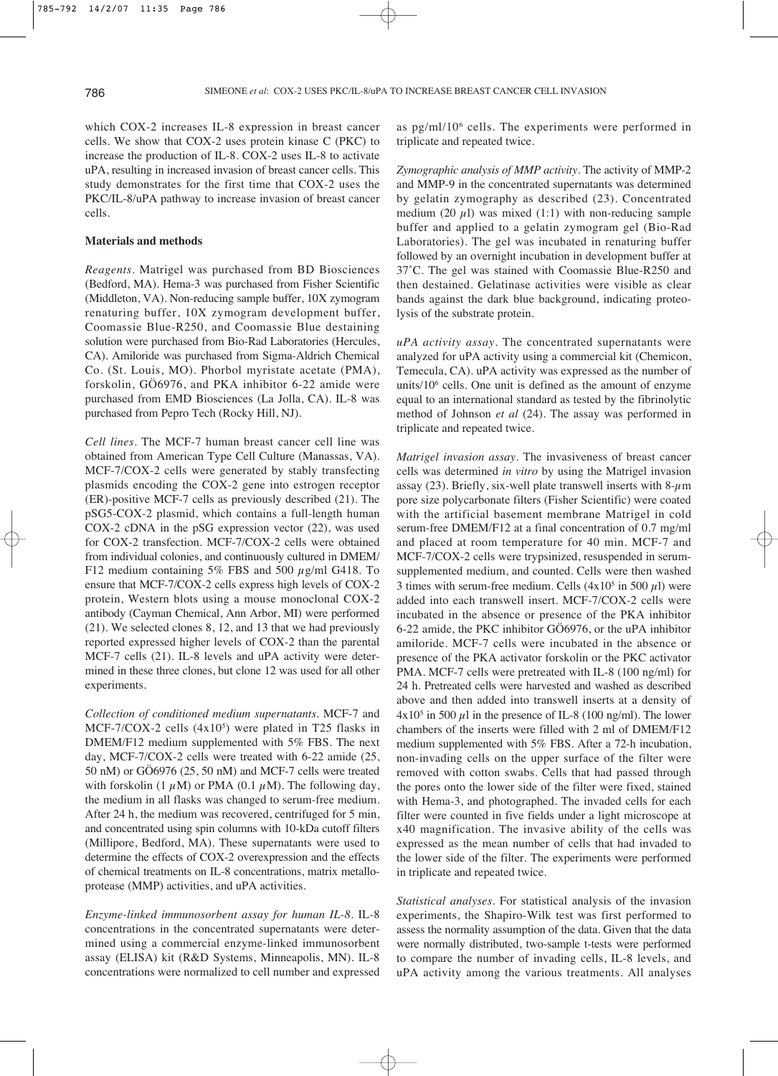which COX-2 increases IL-8 expression in breast cancer cells. We show that COX-2 uses protein kinase C (PKC) to increase the production of IL-8. COX-2 uses IL-8 to activate uPA, resulting in increased invasion of breast cancer cells. This study demonstrates for the first time that COX-2 uses the PKC/IL-8/uPA pathway to increase invasion of breast cancer cells.

## **Materials and methods**

*Reagents*. Matrigel was purchased from BD Biosciences (Bedford, MA). Hema-3 was purchased from Fisher Scientific (Middleton, VA). Non-reducing sample buffer, 10X zymogram renaturing buffer, 10X zymogram development buffer, Coomassie Blue-R250, and Coomassie Blue destaining solution were purchased from Bio-Rad Laboratories (Hercules, CA). Amiloride was purchased from Sigma-Aldrich Chemical Co. (St. Louis, MO). Phorbol myristate acetate (PMA), forskolin, GÖ6976, and PKA inhibitor 6-22 amide were purchased from EMD Biosciences (La Jolla, CA). IL-8 was purchased from Pepro Tech (Rocky Hill, NJ).

*Cell lines*. The MCF-7 human breast cancer cell line was obtained from American Type Cell Culture (Manassas, VA). MCF-7/COX-2 cells were generated by stably transfecting plasmids encoding the COX-2 gene into estrogen receptor (ER)-positive MCF-7 cells as previously described (21). The pSG5-COX-2 plasmid, which contains a full-length human COX-2 cDNA in the pSG expression vector (22), was used for COX-2 transfection. MCF-7/COX-2 cells were obtained from individual colonies, and continuously cultured in DMEM/ F12 medium containing 5% FBS and 500  $\mu$ g/ml G418. To ensure that MCF-7/COX-2 cells express high levels of COX-2 protein, Western blots using a mouse monoclonal COX-2 antibody (Cayman Chemical, Ann Arbor, MI) were performed (21). We selected clones 8, 12, and 13 that we had previously reported expressed higher levels of COX-2 than the parental MCF-7 cells (21). IL-8 levels and uPA activity were determined in these three clones, but clone 12 was used for all other experiments.

*Collection of conditioned medium supernatants*. MCF-7 and MCF-7/COX-2 cells  $(4x10<sup>5</sup>)$  were plated in T25 flasks in DMEM/F12 medium supplemented with 5% FBS. The next day, MCF-7/COX-2 cells were treated with 6-22 amide (25, 50 nM) or GÖ6976 (25, 50 nM) and MCF-7 cells were treated with forskolin (1  $\mu$ M) or PMA (0.1  $\mu$ M). The following day, the medium in all flasks was changed to serum-free medium. After 24 h, the medium was recovered, centrifuged for 5 min, and concentrated using spin columns with 10-kDa cutoff filters (Millipore, Bedford, MA). These supernatants were used to determine the effects of COX-2 overexpression and the effects of chemical treatments on IL-8 concentrations, matrix metalloprotease (MMP) activities, and uPA activities.

*Enzyme-linked immunosorbent assay for human IL-8*. IL-8 concentrations in the concentrated supernatants were determined using a commercial enzyme-linked immunosorbent assay (ELISA) kit (R&D Systems, Minneapolis, MN). IL-8 concentrations were normalized to cell number and expressed as pg/ml/106 cells. The experiments were performed in triplicate and repeated twice.

*Zymographic analysis of MMP activity*. The activity of MMP-2 and MMP-9 in the concentrated supernatants was determined by gelatin zymography as described (23). Concentrated medium (20  $\mu$ l) was mixed (1:1) with non-reducing sample buffer and applied to a gelatin zymogram gel (Bio-Rad Laboratories). The gel was incubated in renaturing buffer followed by an overnight incubation in development buffer at 37˚C. The gel was stained with Coomassie Blue-R250 and then destained. Gelatinase activities were visible as clear bands against the dark blue background, indicating proteolysis of the substrate protein.

*uPA activity assay*. The concentrated supernatants were analyzed for uPA activity using a commercial kit (Chemicon, Temecula, CA). uPA activity was expressed as the number of units/106 cells. One unit is defined as the amount of enzyme equal to an international standard as tested by the fibrinolytic method of Johnson *et al* (24). The assay was performed in triplicate and repeated twice.

*Matrigel invasion assay*. The invasiveness of breast cancer cells was determined *in vitro* by using the Matrigel invasion assay (23). Briefly, six-well plate transwell inserts with  $8-\mu m$ pore size polycarbonate filters (Fisher Scientific) were coated with the artificial basement membrane Matrigel in cold serum-free DMEM/F12 at a final concentration of 0.7 mg/ml and placed at room temperature for 40 min. MCF-7 and MCF-7/COX-2 cells were trypsinized, resuspended in serumsupplemented medium, and counted. Cells were then washed 3 times with serum-free medium. Cells  $(4x10^5 \text{ in } 500 \mu)$  were added into each transwell insert. MCF-7/COX-2 cells were incubated in the absence or presence of the PKA inhibitor 6-22 amide, the PKC inhibitor GÖ6976, or the uPA inhibitor amiloride. MCF-7 cells were incubated in the absence or presence of the PKA activator forskolin or the PKC activator PMA. MCF-7 cells were pretreated with IL-8 (100 ng/ml) for 24 h. Pretreated cells were harvested and washed as described above and then added into transwell inserts at a density of  $4x10<sup>5</sup>$  in 500  $\mu$ 1 in the presence of IL-8 (100 ng/ml). The lower chambers of the inserts were filled with 2 ml of DMEM/F12 medium supplemented with 5% FBS. After a 72-h incubation, non-invading cells on the upper surface of the filter were removed with cotton swabs. Cells that had passed through the pores onto the lower side of the filter were fixed, stained with Hema-3, and photographed. The invaded cells for each filter were counted in five fields under a light microscope at x40 magnification. The invasive ability of the cells was expressed as the mean number of cells that had invaded to the lower side of the filter. The experiments were performed in triplicate and repeated twice.

*Statistical analyses*. For statistical analysis of the invasion experiments, the Shapiro-Wilk test was first performed to assess the normality assumption of the data. Given that the data were normally distributed, two-sample t-tests were performed to compare the number of invading cells, IL-8 levels, and uPA activity among the various treatments. All analyses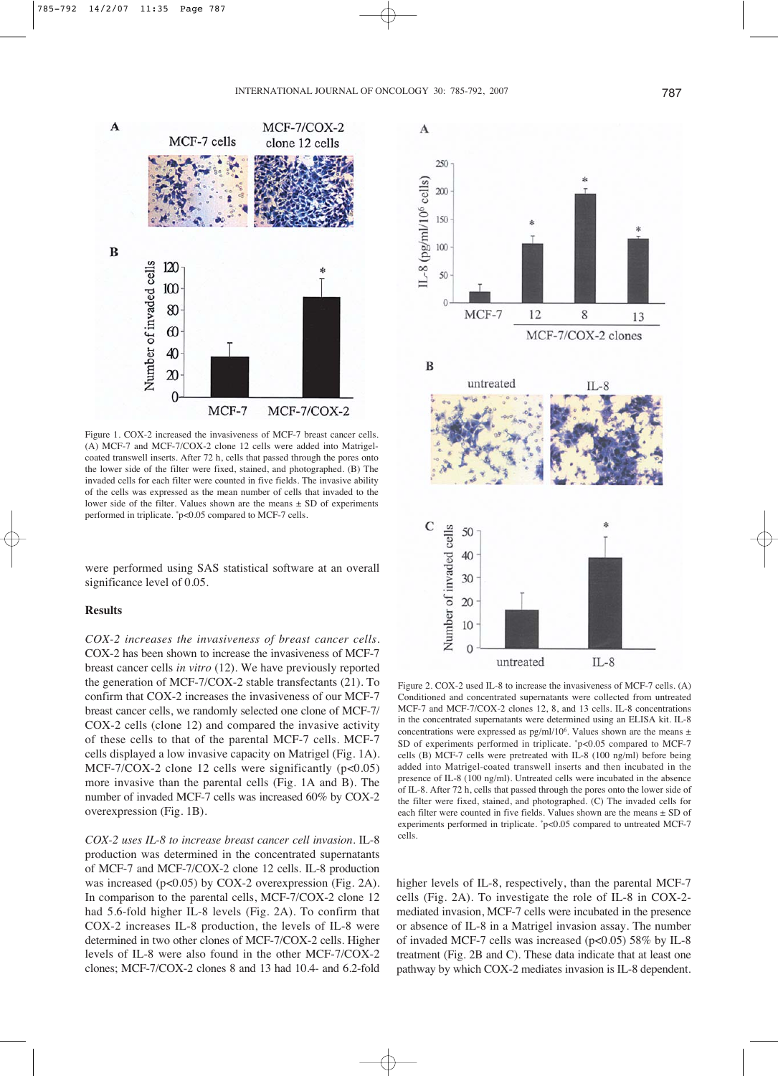

Figure 1. COX-2 increased the invasiveness of MCF-7 breast cancer cells. (A) MCF-7 and MCF-7/COX-2 clone 12 cells were added into Matrigelcoated transwell inserts. After 72 h, cells that passed through the pores onto the lower side of the filter were fixed, stained, and photographed. (B) The invaded cells for each filter were counted in five fields. The invasive ability of the cells was expressed as the mean number of cells that invaded to the lower side of the filter. Values shown are the means  $\pm$  SD of experiments performed in triplicate. \*p<0.05 compared to MCF-7 cells.

were performed using SAS statistical software at an overall significance level of 0.05.

# **Results**

*COX-2 increases the invasiveness of breast cancer cells*. COX-2 has been shown to increase the invasiveness of MCF-7 breast cancer cells *in vitro* (12). We have previously reported the generation of MCF-7/COX-2 stable transfectants (21). To confirm that COX-2 increases the invasiveness of our MCF-7 breast cancer cells, we randomly selected one clone of MCF-7/ COX-2 cells (clone 12) and compared the invasive activity of these cells to that of the parental MCF-7 cells. MCF-7 cells displayed a low invasive capacity on Matrigel (Fig. 1A). MCF-7/COX-2 clone 12 cells were significantly  $(p<0.05)$ more invasive than the parental cells (Fig. 1A and B). The number of invaded MCF-7 cells was increased 60% by COX-2 overexpression (Fig. 1B).

*COX-2 uses IL-8 to increase breast cancer cell invasion*. IL-8 production was determined in the concentrated supernatants of MCF-7 and MCF-7/COX-2 clone 12 cells. IL-8 production was increased (p<0.05) by COX-2 overexpression (Fig. 2A). In comparison to the parental cells, MCF-7/COX-2 clone 12 had 5.6-fold higher IL-8 levels (Fig. 2A). To confirm that COX-2 increases IL-8 production, the levels of IL-8 were determined in two other clones of MCF-7/COX-2 cells. Higher levels of IL-8 were also found in the other MCF-7/COX-2 clones; MCF-7/COX-2 clones 8 and 13 had 10.4- and 6.2-fold



Figure 2. COX-2 used IL-8 to increase the invasiveness of MCF-7 cells. (A) Conditioned and concentrated supernatants were collected from untreated MCF-7 and MCF-7/COX-2 clones 12, 8, and 13 cells. IL-8 concentrations in the concentrated supernatants were determined using an ELISA kit. IL-8 concentrations were expressed as pg/ml/106. Values shown are the means ± SD of experiments performed in triplicate. \*p<0.05 compared to MCF-7 cells (B) MCF-7 cells were pretreated with IL-8 (100 ng/ml) before being added into Matrigel-coated transwell inserts and then incubated in the presence of IL-8 (100 ng/ml). Untreated cells were incubated in the absence of IL-8. After 72 h, cells that passed through the pores onto the lower side of the filter were fixed, stained, and photographed. (C) The invaded cells for each filter were counted in five fields. Values shown are the means ± SD of experiments performed in triplicate. \*p<0.05 compared to untreated MCF-7 cells.

higher levels of IL-8, respectively, than the parental MCF-7 cells (Fig. 2A). To investigate the role of IL-8 in COX-2 mediated invasion, MCF-7 cells were incubated in the presence or absence of IL-8 in a Matrigel invasion assay. The number of invaded MCF-7 cells was increased (p<0.05) 58% by IL-8 treatment (Fig. 2B and C). These data indicate that at least one pathway by which COX-2 mediates invasion is IL-8 dependent.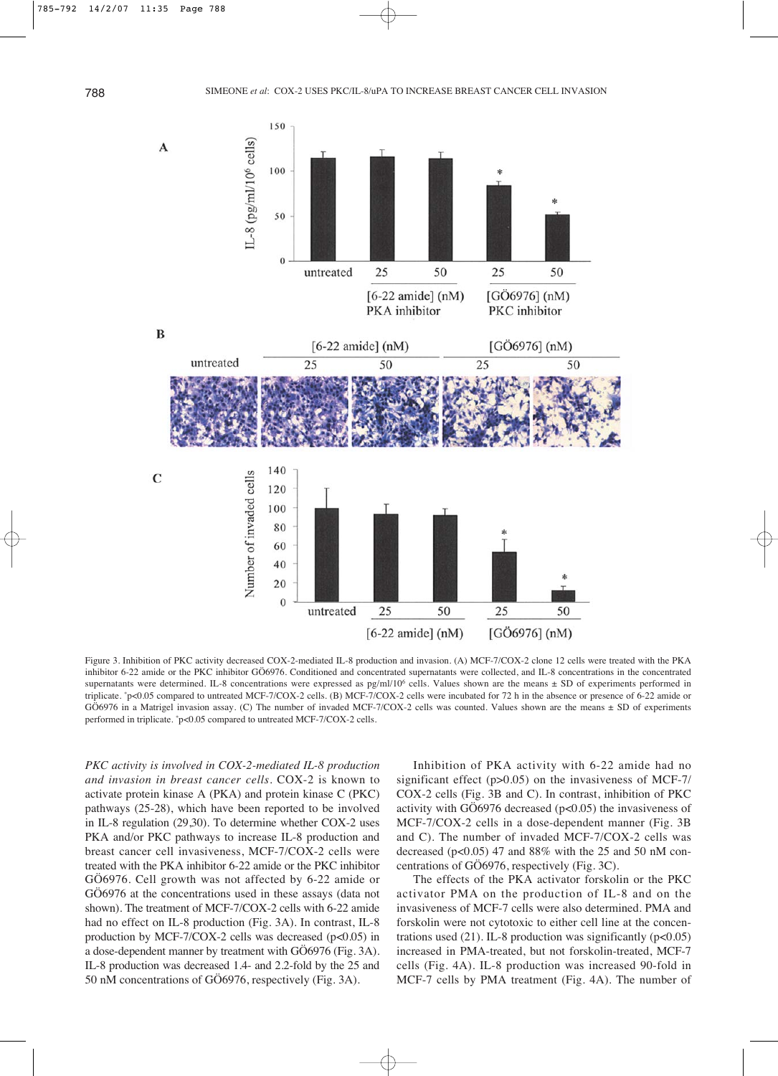

Figure 3. Inhibition of PKC activity decreased COX-2-mediated IL-8 production and invasion. (A) MCF-7/COX-2 clone 12 cells were treated with the PKA inhibitor 6-22 amide or the PKC inhibitor GÖ6976. Conditioned and concentrated supernatants were collected, and IL-8 concentrations in the concentrated supernatants were determined. IL-8 concentrations were expressed as pg/ml/10<sup>6</sup> cells. Values shown are the means  $\pm$  SD of experiments performed in triplicate. \*p<0.05 compared to untreated MCF-7/COX-2 cells. (B) MCF-7/COX-2 cells were incubated for 72 h in the absence or presence of 6-22 amide or GÖ6976 in a Matrigel invasion assay. (C) The number of invaded MCF-7/COX-2 cells was counted. Values shown are the means ± SD of experiments performed in triplicate. \*p<0.05 compared to untreated MCF-7/COX-2 cells.

*PKC activity is involved in COX-2-mediated IL-8 production and invasion in breast cancer cells*. COX-2 is known to activate protein kinase A (PKA) and protein kinase C (PKC) pathways (25-28), which have been reported to be involved in IL-8 regulation (29,30). To determine whether COX-2 uses PKA and/or PKC pathways to increase IL-8 production and breast cancer cell invasiveness, MCF-7/COX-2 cells were treated with the PKA inhibitor 6-22 amide or the PKC inhibitor GÖ6976. Cell growth was not affected by 6-22 amide or GÖ6976 at the concentrations used in these assays (data not shown). The treatment of MCF-7/COX-2 cells with 6-22 amide had no effect on IL-8 production (Fig. 3A). In contrast, IL-8 production by MCF-7/COX-2 cells was decreased (p<0.05) in a dose-dependent manner by treatment with GÖ6976 (Fig. 3A). IL-8 production was decreased 1.4- and 2.2-fold by the 25 and 50 nM concentrations of GÖ6976, respectively (Fig. 3A).

Inhibition of PKA activity with 6-22 amide had no significant effect (p>0.05) on the invasiveness of MCF-7/ COX-2 cells (Fig. 3B and C). In contrast, inhibition of PKC activity with GÖ6976 decreased (p<0.05) the invasiveness of MCF-7/COX-2 cells in a dose-dependent manner (Fig. 3B and C). The number of invaded MCF-7/COX-2 cells was decreased ( $p<0.05$ ) 47 and 88% with the 25 and 50 nM concentrations of GÖ6976, respectively (Fig. 3C).

The effects of the PKA activator forskolin or the PKC activator PMA on the production of IL-8 and on the invasiveness of MCF-7 cells were also determined. PMA and forskolin were not cytotoxic to either cell line at the concentrations used  $(21)$ . IL-8 production was significantly ( $p<0.05$ ) increased in PMA-treated, but not forskolin-treated, MCF-7 cells (Fig. 4A). IL-8 production was increased 90-fold in MCF-7 cells by PMA treatment (Fig. 4A). The number of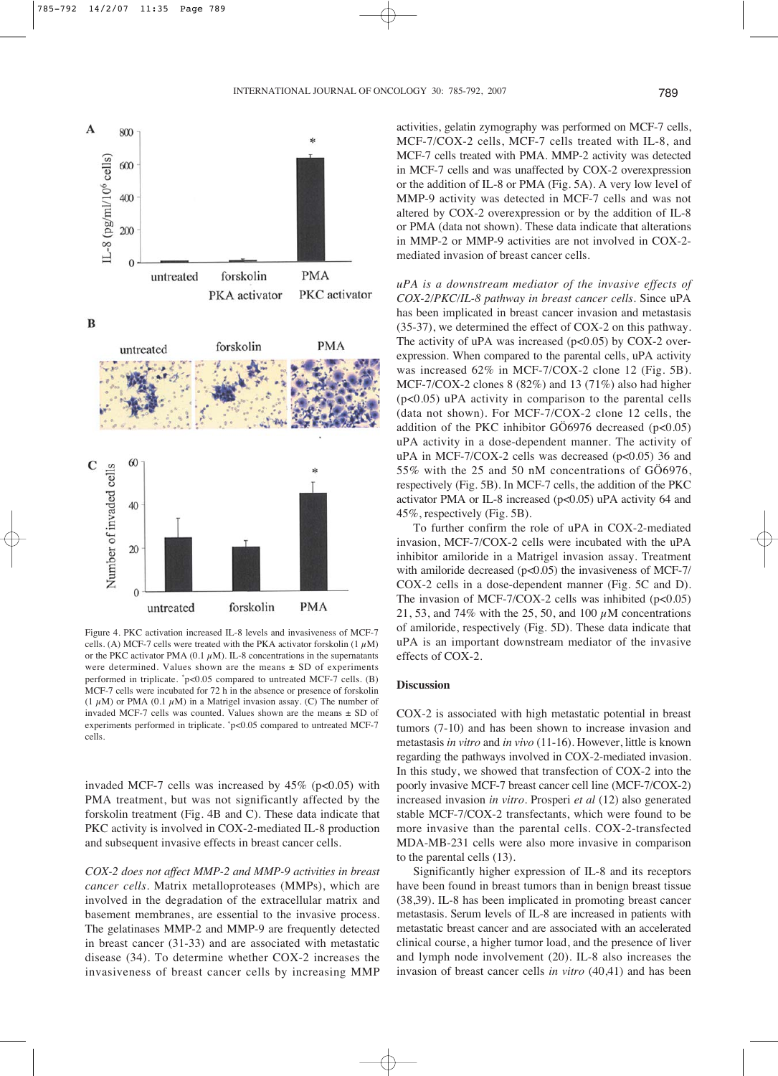

Number of invaded cells  $20$  $\overline{0}$ **PMA** untreated forskolin Figure 4. PKC activation increased IL-8 levels and invasiveness of MCF-7

cells. (A) MCF-7 cells were treated with the PKA activator forskolin  $(1 \mu M)$ or the PKC activator PMA (0.1  $\mu$ M). IL-8 concentrations in the supernatants were determined. Values shown are the means  $\pm$  SD of experiments performed in triplicate. \*p<0.05 compared to untreated MCF-7 cells. (B) MCF-7 cells were incubated for 72 h in the absence or presence of forskolin (1  $\mu$ M) or PMA (0.1  $\mu$ M) in a Matrigel invasion assay. (C) The number of invaded MCF-7 cells was counted. Values shown are the means ± SD of experiments performed in triplicate. \*p<0.05 compared to untreated MCF-7 cells.

invaded MCF-7 cells was increased by  $45\%$  (p<0.05) with PMA treatment, but was not significantly affected by the forskolin treatment (Fig. 4B and C). These data indicate that PKC activity is involved in COX-2-mediated IL-8 production and subsequent invasive effects in breast cancer cells.

*COX-2 does not affect MMP-2 and MMP-9 activities in breast cancer cells*. Matrix metalloproteases (MMPs), which are involved in the degradation of the extracellular matrix and basement membranes, are essential to the invasive process. The gelatinases MMP-2 and MMP-9 are frequently detected in breast cancer (31-33) and are associated with metastatic disease (34). To determine whether COX-2 increases the invasiveness of breast cancer cells by increasing MMP activities, gelatin zymography was performed on MCF-7 cells, MCF-7/COX-2 cells, MCF-7 cells treated with IL-8, and MCF-7 cells treated with PMA. MMP-2 activity was detected in MCF-7 cells and was unaffected by COX-2 overexpression or the addition of IL-8 or PMA (Fig. 5A). A very low level of MMP-9 activity was detected in MCF-7 cells and was not altered by COX-2 overexpression or by the addition of IL-8 or PMA (data not shown). These data indicate that alterations in MMP-2 or MMP-9 activities are not involved in COX-2 mediated invasion of breast cancer cells.

*uPA is a downstream mediator of the invasive effects of COX-2/PKC/IL-8 pathway in breast cancer cells*. Since uPA has been implicated in breast cancer invasion and metastasis (35-37), we determined the effect of COX-2 on this pathway. The activity of uPA was increased  $(p<0.05)$  by COX-2 overexpression. When compared to the parental cells, uPA activity was increased 62% in MCF-7/COX-2 clone 12 (Fig. 5B). MCF-7/COX-2 clones 8 (82%) and 13 (71%) also had higher (p<0.05) uPA activity in comparison to the parental cells (data not shown). For MCF-7/COX-2 clone 12 cells, the addition of the PKC inhibitor GÖ6976 decreased  $(p<0.05)$ uPA activity in a dose-dependent manner. The activity of uPA in MCF-7/COX-2 cells was decreased (p<0.05) 36 and 55% with the 25 and 50 nM concentrations of GÖ6976, respectively (Fig. 5B). In MCF-7 cells, the addition of the PKC activator PMA or IL-8 increased (p<0.05) uPA activity 64 and 45%, respectively (Fig. 5B).

To further confirm the role of uPA in COX-2-mediated invasion, MCF-7/COX-2 cells were incubated with the uPA inhibitor amiloride in a Matrigel invasion assay. Treatment with amiloride decreased ( $p<0.05$ ) the invasiveness of MCF-7/ COX-2 cells in a dose-dependent manner (Fig. 5C and D). The invasion of MCF-7/COX-2 cells was inhibited  $(p<0.05)$ 21, 53, and 74% with the 25, 50, and 100  $\mu$ M concentrations of amiloride, respectively (Fig. 5D). These data indicate that uPA is an important downstream mediator of the invasive effects of COX-2.

### **Discussion**

COX-2 is associated with high metastatic potential in breast tumors (7-10) and has been shown to increase invasion and metastasis *in vitro* and *in vivo* (11-16). However, little is known regarding the pathways involved in COX-2-mediated invasion. In this study, we showed that transfection of COX-2 into the poorly invasive MCF-7 breast cancer cell line (MCF-7/COX-2) increased invasion *in vitro*. Prosperi *et al* (12) also generated stable MCF-7/COX-2 transfectants, which were found to be more invasive than the parental cells. COX-2-transfected MDA-MB-231 cells were also more invasive in comparison to the parental cells (13).

Significantly higher expression of IL-8 and its receptors have been found in breast tumors than in benign breast tissue (38,39). IL-8 has been implicated in promoting breast cancer metastasis. Serum levels of IL-8 are increased in patients with metastatic breast cancer and are associated with an accelerated clinical course, a higher tumor load, and the presence of liver and lymph node involvement (20). IL-8 also increases the invasion of breast cancer cells *in vitro* (40,41) and has been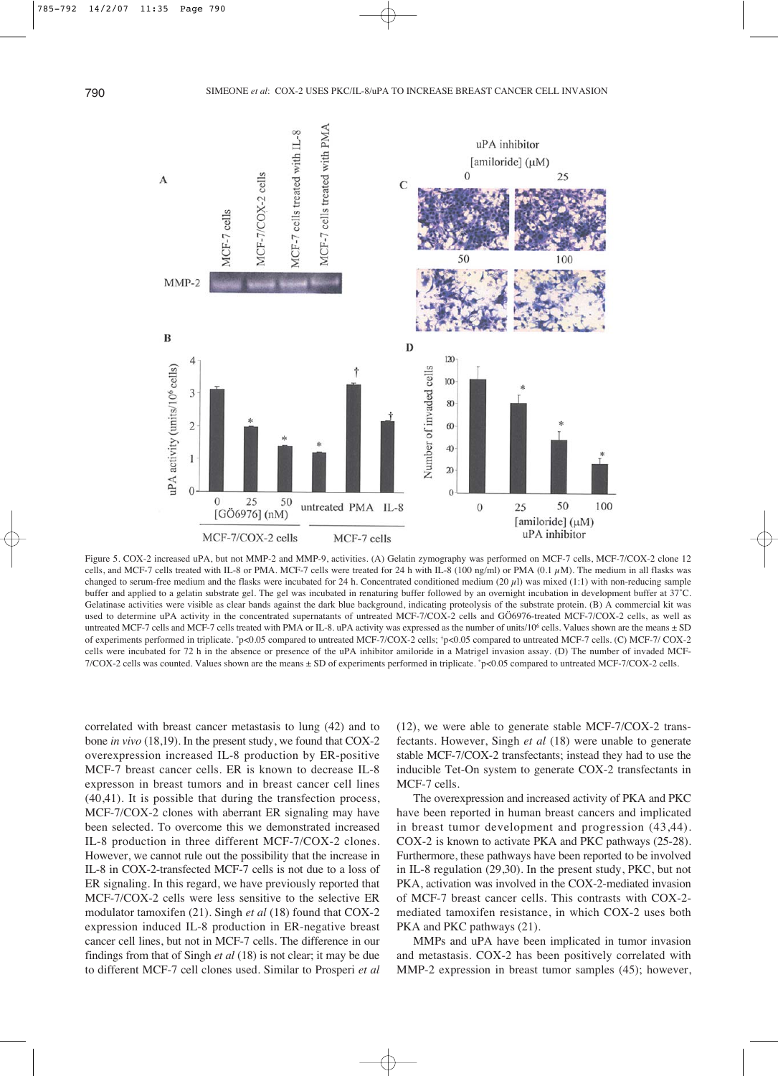

Figure 5. COX-2 increased uPA, but not MMP-2 and MMP-9, activities. (A) Gelatin zymography was performed on MCF-7 cells, MCF-7/COX-2 clone 12 cells, and MCF-7 cells treated with IL-8 or PMA. MCF-7 cells were treated for 24 h with IL-8 (100 ng/ml) or PMA (0.1  $\mu$ M). The medium in all flasks was changed to serum-free medium and the flasks were incubated for 24 h. Concentrated conditioned medium (20  $\mu$ l) was mixed (1:1) with non-reducing sample buffer and applied to a gelatin substrate gel. The gel was incubated in renaturing buffer followed by an overnight incubation in development buffer at 37˚C. Gelatinase activities were visible as clear bands against the dark blue background, indicating proteolysis of the substrate protein. (B) A commercial kit was used to determine uPA activity in the concentrated supernatants of untreated MCF-7/COX-2 cells and GÖ6976-treated MCF-7/COX-2 cells, as well as untreated MCF-7 cells and MCF-7 cells treated with PMA or IL-8. uPA activity was expressed as the number of units/106 cells. Values shown are the means ± SD of experiments performed in triplicate. \*p<0.05 compared to untreated MCF-7/COX-2 cells; †p<0.05 compared to untreated MCF-7 cells. (C) MCF-7/ COX-2 cells were incubated for 72 h in the absence or presence of the uPA inhibitor amiloride in a Matrigel invasion assay. (D) The number of invaded MCF-7/COX-2 cells was counted. Values shown are the means ± SD of experiments performed in triplicate. \*p<0.05 compared to untreated MCF-7/COX-2 cells.

correlated with breast cancer metastasis to lung (42) and to bone *in vivo* (18,19). In the present study, we found that COX-2 overexpression increased IL-8 production by ER-positive MCF-7 breast cancer cells. ER is known to decrease IL-8 expresson in breast tumors and in breast cancer cell lines (40,41). It is possible that during the transfection process, MCF-7/COX-2 clones with aberrant ER signaling may have been selected. To overcome this we demonstrated increased IL-8 production in three different MCF-7/COX-2 clones. However, we cannot rule out the possibility that the increase in IL-8 in COX-2-transfected MCF-7 cells is not due to a loss of ER signaling. In this regard, we have previously reported that MCF-7/COX-2 cells were less sensitive to the selective ER modulator tamoxifen (21). Singh *et al* (18) found that COX-2 expression induced IL-8 production in ER-negative breast cancer cell lines, but not in MCF-7 cells. The difference in our findings from that of Singh *et al* (18) is not clear; it may be due to different MCF-7 cell clones used. Similar to Prosperi *et al* (12), we were able to generate stable MCF-7/COX-2 transfectants. However, Singh *et al* (18) were unable to generate stable MCF-7/COX-2 transfectants; instead they had to use the inducible Tet-On system to generate COX-2 transfectants in MCF-7 cells.

The overexpression and increased activity of PKA and PKC have been reported in human breast cancers and implicated in breast tumor development and progression (43,44). COX-2 is known to activate PKA and PKC pathways (25-28). Furthermore, these pathways have been reported to be involved in IL-8 regulation (29,30). In the present study, PKC, but not PKA, activation was involved in the COX-2-mediated invasion of MCF-7 breast cancer cells. This contrasts with COX-2 mediated tamoxifen resistance, in which COX-2 uses both PKA and PKC pathways  $(21)$ .

MMPs and uPA have been implicated in tumor invasion and metastasis. COX-2 has been positively correlated with MMP-2 expression in breast tumor samples (45); however,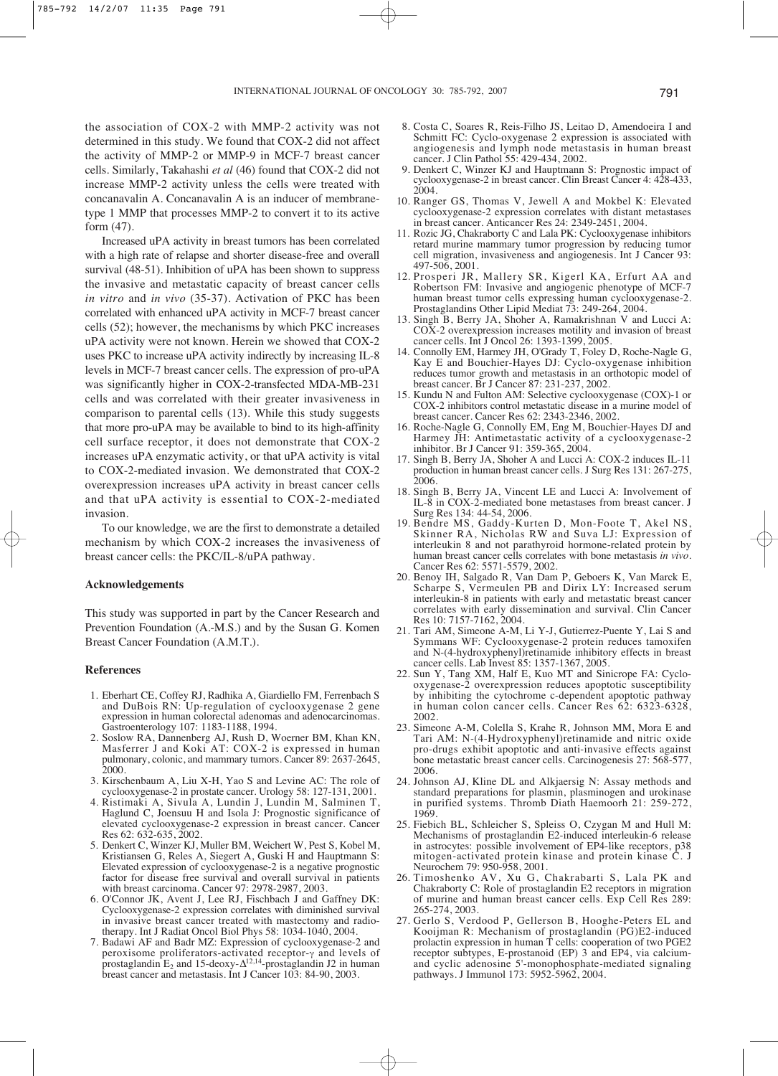the association of COX-2 with MMP-2 activity was not determined in this study. We found that COX-2 did not affect the activity of MMP-2 or MMP-9 in MCF-7 breast cancer cells. Similarly, Takahashi *et al* (46) found that COX-2 did not increase MMP-2 activity unless the cells were treated with concanavalin A. Concanavalin A is an inducer of membranetype 1 MMP that processes MMP-2 to convert it to its active form (47).

Increased uPA activity in breast tumors has been correlated with a high rate of relapse and shorter disease-free and overall survival (48-51). Inhibition of uPA has been shown to suppress the invasive and metastatic capacity of breast cancer cells *in vitro* and *in vivo* (35-37). Activation of PKC has been correlated with enhanced uPA activity in MCF-7 breast cancer cells (52); however, the mechanisms by which PKC increases uPA activity were not known. Herein we showed that COX-2 uses PKC to increase uPA activity indirectly by increasing IL-8 levels in MCF-7 breast cancer cells. The expression of pro-uPA was significantly higher in COX-2-transfected MDA-MB-231 cells and was correlated with their greater invasiveness in comparison to parental cells (13). While this study suggests that more pro-uPA may be available to bind to its high-affinity cell surface receptor, it does not demonstrate that COX-2 increases uPA enzymatic activity, or that uPA activity is vital to COX-2-mediated invasion. We demonstrated that COX-2 overexpression increases uPA activity in breast cancer cells and that uPA activity is essential to COX-2-mediated invasion.

To our knowledge, we are the first to demonstrate a detailed mechanism by which COX-2 increases the invasiveness of breast cancer cells: the PKC/IL-8/uPA pathway.

## **Acknowledgements**

This study was supported in part by the Cancer Research and Prevention Foundation (A.-M.S.) and by the Susan G. Komen Breast Cancer Foundation (A.M.T.).

### **References**

- 1. Eberhart CE, Coffey RJ, Radhika A, Giardiello FM, Ferrenbach S and DuBois RN: Up-regulation of cyclooxygenase 2 gene expression in human colorectal adenomas and adenocarcinomas. Gastroenterology 107: 1183-1188, 1994.
- 2. Soslow RA, Dannenberg AJ, Rush D, Woerner BM, Khan KN, Masferrer J and Koki AT: COX-2 is expressed in human pulmonary, colonic, and mammary tumors. Cancer 89: 2637-2645, 2000.
- 3. Kirschenbaum A, Liu X-H, Yao S and Levine AC: The role of cyclooxygenase-2 in prostate cancer. Urology 58: 127-131, 2001.
- 4. Ristimaki A, Sivula A, Lundin J, Lundin M, Salminen T, Haglund C, Joensuu H and Isola J: Prognostic significance of elevated cyclooxygenase-2 expression in breast cancer. Cancer Res 62: 632-635, 2002.
- 5. Denkert C, Winzer KJ, Muller BM, Weichert W, Pest S, Kobel M, Kristiansen G, Reles A, Siegert A, Guski H and Hauptmann S: Elevated expression of cyclooxygenase-2 is a negative prognostic factor for disease free survival and overall survival in patients with breast carcinoma. Cancer 97: 2978-2987, 2003.
- 6. O'Connor JK, Avent J, Lee RJ, Fischbach J and Gaffney DK: Cyclooxygenase-2 expression correlates with diminished survival in invasive breast cancer treated with mastectomy and radiotherapy. Int J Radiat Oncol Biol Phys 58: 1034-1040, 2004.
- 7. Badawi AF and Badr MZ: Expression of cyclooxygenase-2 and peroxisome proliferators-activated receptor- $\gamma$  and levels of prostaglandin  $E_2$  and 15-deoxy- $\Delta^{12,14}$ -prostaglandin J2 in human breast cancer and metastasis. Int J Cancer 103: 84-90, 2003.
- 8. Costa C, Soares R, Reis-Filho JS, Leitao D, Amendoeira I and Schmitt FC: Cyclo-oxygenase 2 expression is associated with angiogenesis and lymph node metastasis in human breast cancer. J Clin Pathol 55: 429-434, 2002.
- 9. Denkert C, Winzer KJ and Hauptmann S: Prognostic impact of cyclooxygenase-2 in breast cancer. Clin Breast Cancer 4: 428-433, 2004.
- 10. Ranger GS, Thomas V, Jewell A and Mokbel K: Elevated cyclooxygenase-2 expression correlates with distant metastases in breast cancer. Anticancer Res 24: 2349-2451, 2004.
- 11. Rozic JG, Chakraborty C and Lala PK: Cyclooxygenase inhibitors retard murine mammary tumor progression by reducing tumor cell migration, invasiveness and angiogenesis. Int J Cancer 93: 497-506, 2001.
- 12. Prosperi JR, Mallery SR, Kigerl KA, Erfurt AA and Robertson FM: Invasive and angiogenic phenotype of MCF-7 human breast tumor cells expressing human cyclooxygenase-2. Prostaglandins Other Lipid Mediat 73: 249-264, 2004.
- 13. Singh B, Berry JA, Shoher A, Ramakrishnan V and Lucci A: COX-2 overexpression increases motility and invasion of breast cancer cells. Int J Oncol 26: 1393-1399, 2005.
- 14. Connolly EM, Harmey JH, O'Grady T, Foley D, Roche-Nagle G, Kay E and Bouchier-Hayes DJ: Cyclo-oxygenase inhibition reduces tumor growth and metastasis in an orthotopic model of breast cancer. Br J Cancer 87: 231-237, 2002.
- 15. Kundu N and Fulton AM: Selective cyclooxygenase (COX)-1 or COX-2 inhibitors control metastatic disease in a murine model of breast cancer. Cancer Res 62: 2343-2346, 2002.
- 16. Roche-Nagle G, Connolly EM, Eng M, Bouchier-Hayes DJ and Harmey JH: Antimetastatic activity of a cyclooxygenase-2 inhibitor. Br J Cancer 91: 359-365, 2004.
- 17. Singh B, Berry JA, Shoher A and Lucci A: COX-2 induces IL-11 production in human breast cancer cells. J Surg Res 131: 267-275, 2006.
- 18. Singh B, Berry JA, Vincent LE and Lucci A: Involvement of IL-8 in COX-2-mediated bone metastases from breast cancer. J Surg Res 134: 44-54, 2006.
- 19. Bendre MS, Gaddy-Kurten D, Mon-Foote T, Akel NS, Skinner RA, Nicholas RW and Suva LJ: Expression of interleukin 8 and not parathyroid hormone-related protein by human breast cancer cells correlates with bone metastasis *in vivo*. Cancer Res 62: 5571-5579, 2002.
- 20. Benoy IH, Salgado R, Van Dam P, Geboers K, Van Marck E, Scharpe S, Vermeulen PB and Dirix LY: Increased serum interleukin-8 in patients with early and metastatic breast cancer correlates with early dissemination and survival. Clin Cancer Res 10: 7157-7162, 2004.
- 21. Tari AM, Simeone A-M, Li Y-J, Gutierrez-Puente Y, Lai S and Symmans WF: Cyclooxygenase-2 protein reduces tamoxifen and N-(4-hydroxyphenyl)retinamide inhibitory effects in breast cancer cells. Lab Invest 85: 1357-1367, 2005.
- 22. Sun Y, Tang XM, Half E, Kuo MT and Sinicrope FA: Cyclooxygenase-2 overexpression reduces apoptotic susceptibility by inhibiting the cytochrome c-dependent apoptotic pathway in human colon cancer cells. Cancer Res 62: 6323-6328, 2002.
- 23. Simeone A-M, Colella S, Krahe R, Johnson MM, Mora E and Tari AM: N-(4-Hydroxyphenyl)retinamide and nitric oxide pro-drugs exhibit apoptotic and anti-invasive effects against bone metastatic breast cancer cells. Carcinogenesis 27: 568-577, 2006.
- 24. Johnson AJ, Kline DL and Alkjaersig N: Assay methods and standard preparations for plasmin, plasminogen and urokinase in purified systems. Thromb Diath Haemoorh 21: 259-272, 1969.
- 25. Fiebich BL, Schleicher S, Spleiss O, Czygan M and Hull M: Mechanisms of prostaglandin E2-induced interleukin-6 release in astrocytes: possible involvement of EP4-like receptors, p38 mitogen-activated protein kinase and protein kinase C. J Neurochem 79: 950-958, 2001.
- 26. Timoshenko AV, Xu G, Chakrabarti S, Lala PK and Chakraborty C: Role of prostaglandin E2 receptors in migration of murine and human breast cancer cells. Exp Cell Res 289: 265-274, 2003.
- 27. Gerlo S, Verdood P, Gellerson B, Hooghe-Peters EL and Kooijman R: Mechanism of prostaglandin (PG)E2-induced prolactin expression in human T cells: cooperation of two PGE2 receptor subtypes, E-prostanoid (EP) 3 and EP4, via calciumand cyclic adenosine 5'-monophosphate-mediated signaling pathways. J Immunol 173: 5952-5962, 2004.